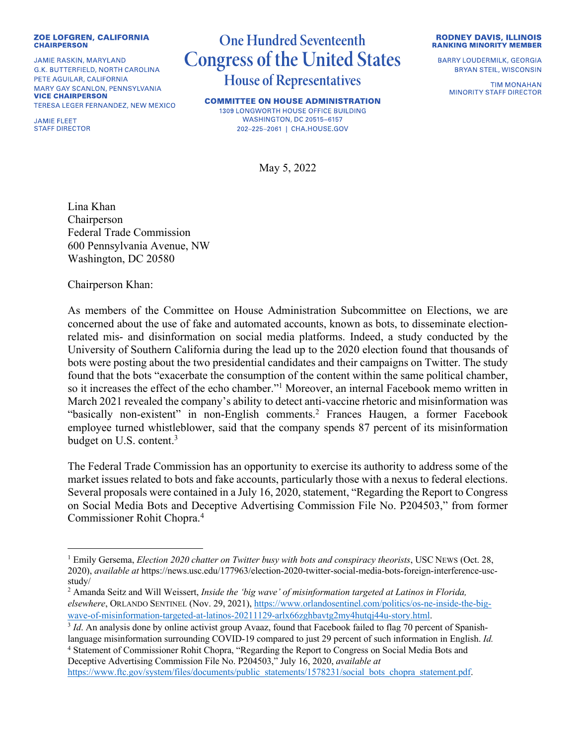## **ZOE LOFGREN, CALIFORNIA CHAIRPERSON**

**JAMIE RASKIN, MARYLAND** G.K. BUTTERFIELD, NORTH CAROLINA PETE AGUILAR, CALIFORNIA MARY GAY SCANLON, PENNSYLVANIA **VICE CHAIRPERSON** TERESA LEGER FERNANDEZ, NEW MEXICO

**JAMIE FLEET STAFF DIRECTOR** 

## **One Hundred Seventeenth Congress of the United States House of Representatives**

**COMMITTEE ON HOUSE ADMINISTRATION** 1309 LONGWORTH HOUSE OFFICE BUILDING **WASHINGTON, DC 20515-6157** 202-225-2061 | CHA.HOUSE.GOV

May 5, 2022

Lina Khan Chairperson Federal Trade Commission 600 Pennsylvania Avenue, NW Washington, DC 20580

Chairperson Khan:

As members of the Committee on House Administration Subcommittee on Elections, we are concerned about the use of fake and automated accounts, known as bots, to disseminate electionrelated mis- and disinformation on social media platforms. Indeed, a study conducted by the University of Southern California during the lead up to the 2020 election found that thousands of bots were posting about the two presidential candidates and their campaigns on Twitter. The study found that the bots "exacerbate the consumption of the content within the same political chamber, so it increases the effect of the echo chamber."1 Moreover, an internal Facebook memo written in March 2021 revealed the company's ability to detect anti-vaccine rhetoric and misinformation was "basically non-existent" in non-English comments.2 Frances Haugen, a former Facebook employee turned whistleblower, said that the company spends 87 percent of its misinformation budget on U.S. content.<sup>3</sup>

The Federal Trade Commission has an opportunity to exercise its authority to address some of the market issues related to bots and fake accounts, particularly those with a nexus to federal elections. Several proposals were contained in a July 16, 2020, statement, "Regarding the Report to Congress on Social Media Bots and Deceptive Advertising Commission File No. P204503," from former Commissioner Rohit Chopra.4

<sup>4</sup> Statement of Commissioner Rohit Chopra, "Regarding the Report to Congress on Social Media Bots and Deceptive Advertising Commission File No. P204503," July 16, 2020, *available at*

https://www.ftc.gov/system/files/documents/public\_statements/1578231/social\_bots\_chopra\_statement.pdf.

**RODNEY DAVIS, ILLINOIS RANKING MINORITY MEMBER** 

**BARRY LOUDERMILK, GEORGIA BRYAN STEIL, WISCONSIN** 

> **TIM MONAHAN MINORITY STAFF DIRECTOR**

<sup>1</sup> Emily Gersema, *Election 2020 chatter on Twitter busy with bots and conspiracy theorists*, USC NEWS (Oct. 28, 2020), *available at* https://news.usc.edu/177963/election-2020-twitter-social-media-bots-foreign-interference-uscstudy/

<sup>2</sup> Amanda Seitz and Will Weissert, *Inside the 'big wave' of misinformation targeted at Latinos in Florida, elsewhere*, ORLANDO SENTINEL (Nov. 29, 2021), https://www.orlandosentinel.com/politics/os-ne-inside-the-bigwave-of-misinformation-targeted-at-latinos-20211129-arlx66zghbavtg2my4hutqj44u-story.html.<br><sup>3</sup> *Id*. An analysis done by online activist group Avaaz, found that Facebook failed to flag 70 percent of Spanish-

language misinformation surrounding COVID-19 compared to just 29 percent of such information in English. *Id.*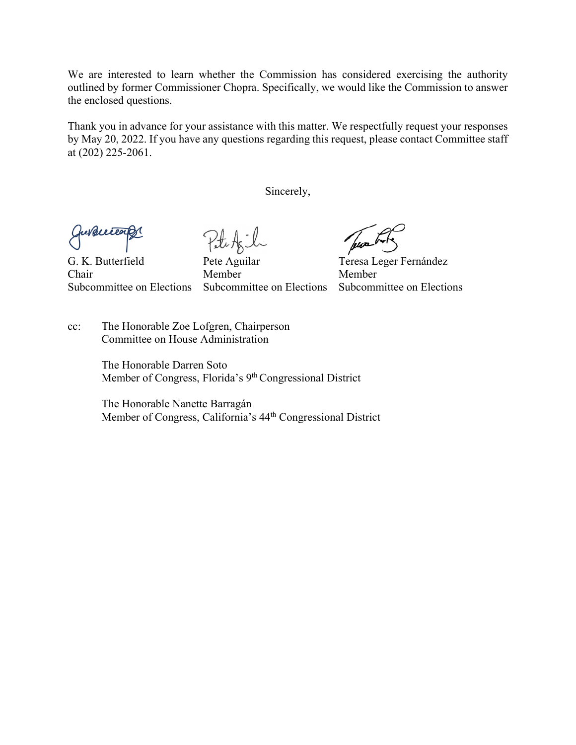We are interested to learn whether the Commission has considered exercising the authority outlined by former Commissioner Chopra. Specifically, we would like the Commission to answer the enclosed questions.

Thank you in advance for your assistance with this matter. We respectfully request your responses by May 20, 2022. If you have any questions regarding this request, please contact Committee staff at (202) 225-2061.

Sincerely,

evelected

G. K. Butterfield Pete Aguilar Teresa Leger Fernández Chair Member Member

Subcommittee on Elections Subcommittee on Elections Subcommittee on Elections

cc: The Honorable Zoe Lofgren, Chairperson Committee on House Administration

> The Honorable Darren Soto Member of Congress, Florida's 9<sup>th</sup> Congressional District

The Honorable Nanette Barragán Member of Congress, California's 44th Congressional District